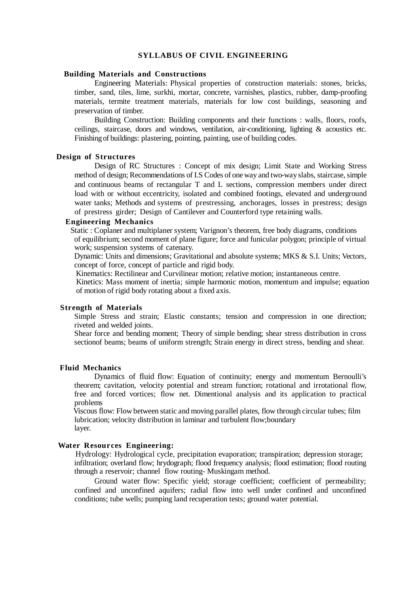#### **SYLLABUS OF CIVIL ENGINEERING**

# **Building Materials and Constructions**

Engineering Materials: Physical properties of construction materials: stones, bricks, timber, sand, tiles, lime, surkhi, mortar, concrete, varnishes, plastics, rubber, damp-proofing materials, termite treatment materials, materials for low cost buildings, seasoning and preservation of timber.

Building Construction: Building components and their functions : walls, floors, roofs, ceilings, staircase, doors and windows, ventilation, air-conditioning, lighting & acoustics etc. Finishing of buildings: plastering, pointing, painting, use of building codes.

#### **Design of Structures**

Design of RC Structures : Concept of mix design; Limit State and Working Stress method of design; Recommendations of I.S Codes of oneway and two-way slabs, staircase, simple and continuous beams of rectangular T and L sections, compression members under direct load with or without eccentricity, isolated and combined footings, elevated and underground water tanks; Methods and systems of prestressing, anchorages, losses in prestress; design of prestress girder; Design of Cantilever and Counterford type retaining walls.

## **Engineering Mechanics**

 Static : Coplaner and multiplaner system; Varignon's theorem, free body diagrams, conditions of equilibrium; second moment of plane figure; force and funicular polygon; principle of virtual work; suspension systems of catenary.

Dynamic: Units and dimensions; Gravitational and absolute systems; MKS & S.I. Units; Vectors, concept of force, concept of particle and rigid body.

Kinematics: Rectilinear and Curvilinear motion; relative motion; instantaneous centre.

Kinetics: Mass moment of inertia; simple harmonic motion, momentum and impulse; equation of motion of rigid body rotating about a fixed axis.

# **Strength of Materials**

Simple Stress and strain; Elastic constants; tension and compression in one direction; riveted and welded joints.

Shear force and bending moment; Theory of simple bending; shear stress distribution in cross sectionof beams; beams of uniform strength; Strain energy in direct stress, bending and shear.

#### **Fluid Mechanics**

Dynamics of fluid flow: Equation of continuity; energy and momentum Bernoulli's theorem; cavitation, velocity potential and stream function; rotational and irrotational flow, free and forced vortices; flow net. Dimentional analysis and its application to practical problems

 Viscous flow: Flow between static and moving parallel plates, flow through circular tubes; film lubrication; velocity distribution in laminar and turbulent flow;boundary layer.

## **Water Resources Engineering:**

 Hydrology: Hydrological cycle, precipitation evaporation; transpiration; depression storage; infiltration; overland flow; hrydograph; flood frequency analysis; flood estimation; flood routing through a reservoir; channel flow routing- Muskingam method.

Ground water flow: Specific yield; storage coefficient; coefficient of permeability; confined and unconfined aquifers; radial flow into well under confined and unconfined conditions; tube wells; pumping land recuperation tests; ground water potential.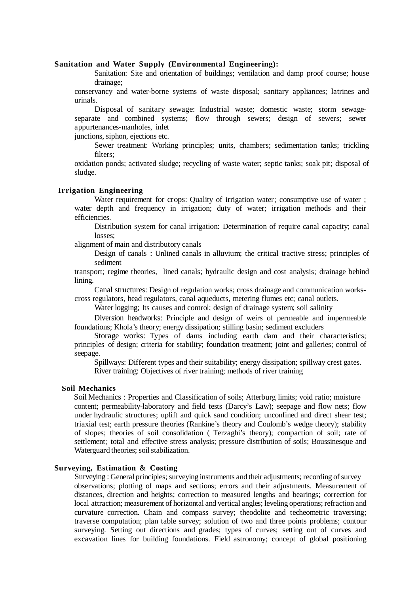#### **Sanitation and Water Supply (Environmental Engineering):**

Sanitation: Site and orientation of buildings; ventilation and damp proof course; house drainage;

conservancy and water-borne systems of waste disposal; sanitary appliances; latrines and urinals.

Disposal of sanitary sewage: Industrial waste; domestic waste; storm sewageseparate and combined systems; flow through sewers; design of sewers; sewer appurtenances-manholes, inlet

junctions, siphon, ejections etc.

Sewer treatment: Working principles; units, chambers; sedimentation tanks; trickling filters;

oxidation ponds; activated sludge; recycling of waste water; septic tanks; soak pit; disposal of sludge.

# **Irrigation Engineering**

Water requirement for crops: Quality of irrigation water; consumptive use of water; water depth and frequency in irrigation; duty of water; irrigation methods and their efficiencies.

Distribution system for canal irrigation: Determination of require canal capacity; canal losses;

alignment of main and distributory canals

Design of canals : Unlined canals in alluvium; the critical tractive stress; principles of sediment

transport; regime theories, lined canals; hydraulic design and cost analysis; drainage behind lining.

Canal structures: Design of regulation works; cross drainage and communication workscross regulators, head regulators, canal aqueducts, metering flumes etc; canal outlets.

Water logging; Its causes and control; design of drainage system; soil salinity

Diversion headworks: Principle and design of weirs of permeable and impermeable foundations; Khola's theory; energy dissipation; stilling basin; sediment excluders

Storage works: Types of dams including earth dam and their characteristics; principles of design; criteria for stability; foundation treatment; joint and galleries; control of seepage.

Spillways: Different types and their suitability; energy dissipation; spillway crest gates. River training: Objectives of river training; methods of river training

## **Soil Mechanics**

 Soil Mechanics : Properties and Classification of soils; Atterburg limits; void ratio; moisture content; permeability-laboratory and field tests (Darcy's Law); seepage and flow nets; flow under hydraulic structures; uplift and quick sand condition; unconfined and direct shear test; triaxial test; earth pressure theories (Rankine's theory and Coulomb's wedge theory); stability of slopes; theories of soil consolidation ( Terzaghi's theory); compaction of soil; rate of settlement; total and effective stress analysis; pressure distribution of soils; Boussinesque and Waterguard theories; soil stabilization.

# **Surveying, Estimation & Costing**

Surveying : General principles: surveying instruments and their adjustments; recording of survey observations; plotting of maps and sections; errors and their adjustments. Measurement of distances, direction and heights; correction to measured lengths and bearings; correction for local attraction; measurement of horizontal and vertical angles; leveling operations; refraction and curvature correction. Chain and compass survey; theodolite and techeometric traversing; traverse computation; plan table survey; solution of two and three points problems; contour surveying. Setting out directions and grades; types of curves; setting out of curves and excavation lines for building foundations. Field astronomy; concept of global positioning